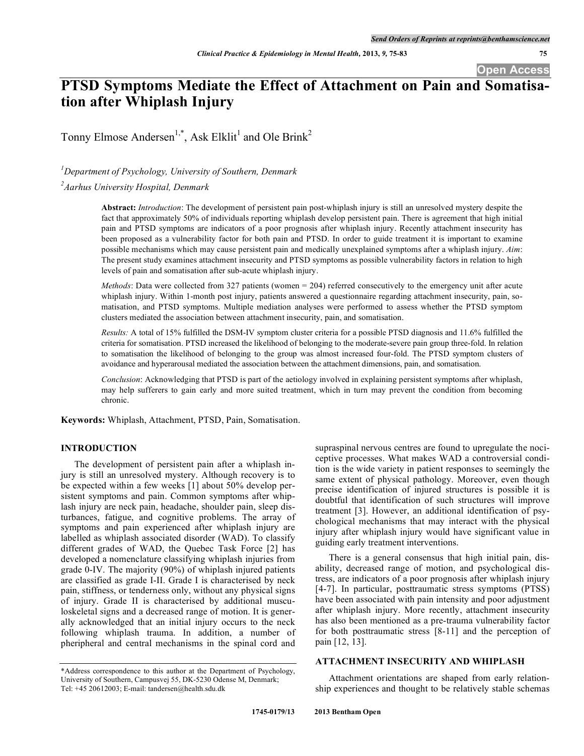**Open Access**

# **PTSD Symptoms Mediate the Effect of Attachment on Pain and Somatisation after Whiplash Injury**

Tonny Elmose Andersen<sup>1,\*</sup>, Ask Elklit<sup>1</sup> and Ole Brink<sup>2</sup>

*1 Department of Psychology, University of Southern, Denmark*

*2 Aarhus University Hospital, Denmark*

**Abstract:** *Introduction*: The development of persistent pain post-whiplash injury is still an unresolved mystery despite the fact that approximately 50% of individuals reporting whiplash develop persistent pain. There is agreement that high initial pain and PTSD symptoms are indicators of a poor prognosis after whiplash injury. Recently attachment insecurity has been proposed as a vulnerability factor for both pain and PTSD. In order to guide treatment it is important to examine possible mechanisms which may cause persistent pain and medically unexplained symptoms after a whiplash injury. *Aim*: The present study examines attachment insecurity and PTSD symptoms as possible vulnerability factors in relation to high levels of pain and somatisation after sub-acute whiplash injury.

*Methods*: Data were collected from 327 patients (women = 204) referred consecutively to the emergency unit after acute whiplash injury. Within 1-month post injury, patients answered a questionnaire regarding attachment insecurity, pain, somatisation, and PTSD symptoms. Multiple mediation analyses were performed to assess whether the PTSD symptom clusters mediated the association between attachment insecurity, pain, and somatisation.

*Results:* A total of 15% fulfilled the DSM-IV symptom cluster criteria for a possible PTSD diagnosis and 11.6% fulfilled the criteria for somatisation. PTSD increased the likelihood of belonging to the moderate-severe pain group three-fold. In relation to somatisation the likelihood of belonging to the group was almost increased four-fold. The PTSD symptom clusters of avoidance and hyperarousal mediated the association between the attachment dimensions, pain, and somatisation.

*Conclusion*: Acknowledging that PTSD is part of the aetiology involved in explaining persistent symptoms after whiplash, may help sufferers to gain early and more suited treatment, which in turn may prevent the condition from becoming chronic.

**Keywords:** Whiplash, Attachment, PTSD, Pain, Somatisation.

#### **INTRODUCTION**

The development of persistent pain after a whiplash injury is still an unresolved mystery. Although recovery is to be expected within a few weeks [1] about 50% develop persistent symptoms and pain. Common symptoms after whiplash injury are neck pain, headache, shoulder pain, sleep disturbances, fatigue, and cognitive problems. The array of symptoms and pain experienced after whiplash injury are labelled as whiplash associated disorder (WAD). To classify different grades of WAD, the Quebec Task Force [2] has developed a nomenclature classifying whiplash injuries from grade 0-IV. The majority (90%) of whiplash injured patients are classified as grade I-II. Grade I is characterised by neck pain, stiffness, or tenderness only, without any physical signs of injury. Grade II is characterised by additional musculoskeletal signs and a decreased range of motion. It is generally acknowledged that an initial injury occurs to the neck following whiplash trauma. In addition, a number of pheripheral and central mechanisms in the spinal cord and

supraspinal nervous centres are found to upregulate the nociceptive processes. What makes WAD a controversial condition is the wide variety in patient responses to seemingly the same extent of physical pathology. Moreover, even though precise identification of injured structures is possible it is doubtful that identification of such structures will improve treatment [3]. However, an additional identification of psychological mechanisms that may interact with the physical injury after whiplash injury would have significant value in guiding early treatment interventions.

There is a general consensus that high initial pain, disability, decreased range of motion, and psychological distress, are indicators of a poor prognosis after whiplash injury [4-7]. In particular, posttraumatic stress symptoms (PTSS) have been associated with pain intensity and poor adjustment after whiplash injury. More recently, attachment insecurity has also been mentioned as a pre-trauma vulnerability factor for both posttraumatic stress [8-11] and the perception of pain [12, 13].

### **ATTACHMENT INSECURITY AND WHIPLASH**

Attachment orientations are shaped from early relationship experiences and thought to be relatively stable schemas

<sup>\*</sup>Address correspondence to this author at the Department of Psychology, University of Southern, Campusvej 55, DK-5230 Odense M, Denmark; Tel: +45 20612003; E-mail: tandersen@health.sdu.dk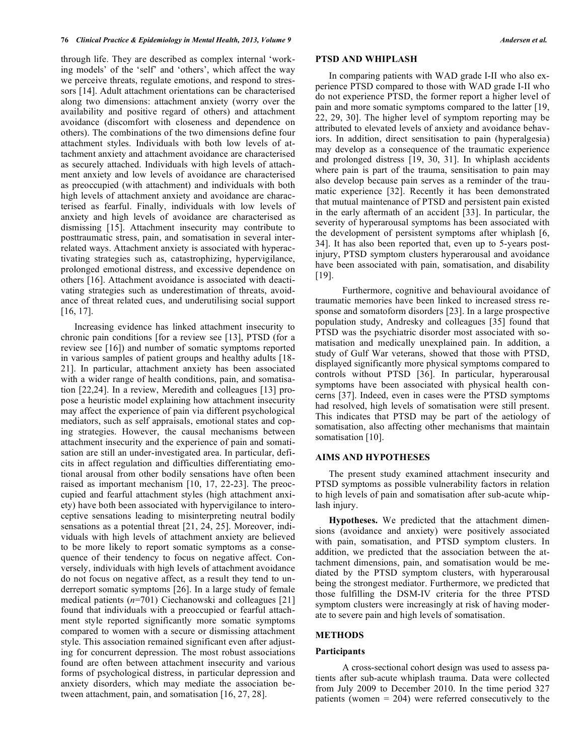through life. They are described as complex internal 'working models' of the 'self' and 'others', which affect the way we perceive threats, regulate emotions, and respond to stressors [14]. Adult attachment orientations can be characterised along two dimensions: attachment anxiety (worry over the availability and positive regard of others) and attachment avoidance (discomfort with closeness and dependence on others). The combinations of the two dimensions define four attachment styles. Individuals with both low levels of attachment anxiety and attachment avoidance are characterised as securely attached. Individuals with high levels of attachment anxiety and low levels of avoidance are characterised as preoccupied (with attachment) and individuals with both high levels of attachment anxiety and avoidance are characterised as fearful. Finally, individuals with low levels of anxiety and high levels of avoidance are characterised as dismissing [15]. Attachment insecurity may contribute to posttraumatic stress, pain, and somatisation in several interrelated ways. Attachment anxiety is associated with hyperactivating strategies such as, catastrophizing, hypervigilance, prolonged emotional distress, and excessive dependence on others [16]. Attachment avoidance is associated with deactivating strategies such as underestimation of threats, avoidance of threat related cues, and underutilising social support [16, 17].

Increasing evidence has linked attachment insecurity to chronic pain conditions [for a review see [13], PTSD (for a review see [16]) and number of somatic symptoms reported in various samples of patient groups and healthy adults [18- 21]. In particular, attachment anxiety has been associated with a wider range of health conditions, pain, and somatisation [22,24]. In a review, Meredith and colleagues [13] propose a heuristic model explaining how attachment insecurity may affect the experience of pain via different psychological mediators, such as self appraisals, emotional states and coping strategies. However, the causal mechanisms between attachment insecurity and the experience of pain and somatisation are still an under-investigated area. In particular, deficits in affect regulation and difficulties differentiating emotional arousal from other bodily sensations have often been raised as important mechanism [10, 17, 22-23]. The preoccupied and fearful attachment styles (high attachment anxiety) have both been associated with hypervigilance to interoceptive sensations leading to misinterpreting neutral bodily sensations as a potential threat [21, 24, 25]. Moreover, individuals with high levels of attachment anxiety are believed to be more likely to report somatic symptoms as a consequence of their tendency to focus on negative affect. Conversely, individuals with high levels of attachment avoidance do not focus on negative affect, as a result they tend to underreport somatic symptoms [26]. In a large study of female medical patients (*n*=701) Ciechanowski and colleagues [21] found that individuals with a preoccupied or fearful attachment style reported significantly more somatic symptoms compared to women with a secure or dismissing attachment style. This association remained significant even after adjusting for concurrent depression. The most robust associations found are often between attachment insecurity and various forms of psychological distress, in particular depression and anxiety disorders, which may mediate the association between attachment, pain, and somatisation [16, 27, 28].

#### **PTSD AND WHIPLASH**

In comparing patients with WAD grade I-II who also experience PTSD compared to those with WAD grade I-II who do not experience PTSD, the former report a higher level of pain and more somatic symptoms compared to the latter [19, 22, 29, 30]. The higher level of symptom reporting may be attributed to elevated levels of anxiety and avoidance behaviors. In addition, direct sensitisation to pain (hyperalgesia) may develop as a consequence of the traumatic experience and prolonged distress [19, 30, 31]. In whiplash accidents where pain is part of the trauma, sensitisation to pain may also develop because pain serves as a reminder of the traumatic experience [32]. Recently it has been demonstrated that mutual maintenance of PTSD and persistent pain existed in the early aftermath of an accident [33]. In particular, the severity of hyperarousal symptoms has been associated with the development of persistent symptoms after whiplash [6, 34]. It has also been reported that, even up to 5-years postinjury, PTSD symptom clusters hyperarousal and avoidance have been associated with pain, somatisation, and disability [19].

Furthermore, cognitive and behavioural avoidance of traumatic memories have been linked to increased stress response and somatoform disorders [23]. In a large prospective population study, Andresky and colleagues [35] found that PTSD was the psychiatric disorder most associated with somatisation and medically unexplained pain. In addition, a study of Gulf War veterans, showed that those with PTSD, displayed significantly more physical symptoms compared to controls without PTSD [36]. In particular, hyperarousal symptoms have been associated with physical health concerns [37]. Indeed, even in cases were the PTSD symptoms had resolved, high levels of somatisation were still present. This indicates that PTSD may be part of the aetiology of somatisation, also affecting other mechanisms that maintain somatisation [10].

#### **AIMS AND HYPOTHESES**

The present study examined attachment insecurity and PTSD symptoms as possible vulnerability factors in relation to high levels of pain and somatisation after sub-acute whiplash injury.

**Hypotheses.** We predicted that the attachment dimensions (avoidance and anxiety) were positively associated with pain, somatisation, and PTSD symptom clusters. In addition, we predicted that the association between the attachment dimensions, pain, and somatisation would be mediated by the PTSD symptom clusters, with hyperarousal being the strongest mediator. Furthermore, we predicted that those fulfilling the DSM-IV criteria for the three PTSD symptom clusters were increasingly at risk of having moderate to severe pain and high levels of somatisation.

#### **METHODS**

#### **Participants**

A cross-sectional cohort design was used to assess patients after sub-acute whiplash trauma. Data were collected from July 2009 to December 2010. In the time period 327 patients (women = 204) were referred consecutively to the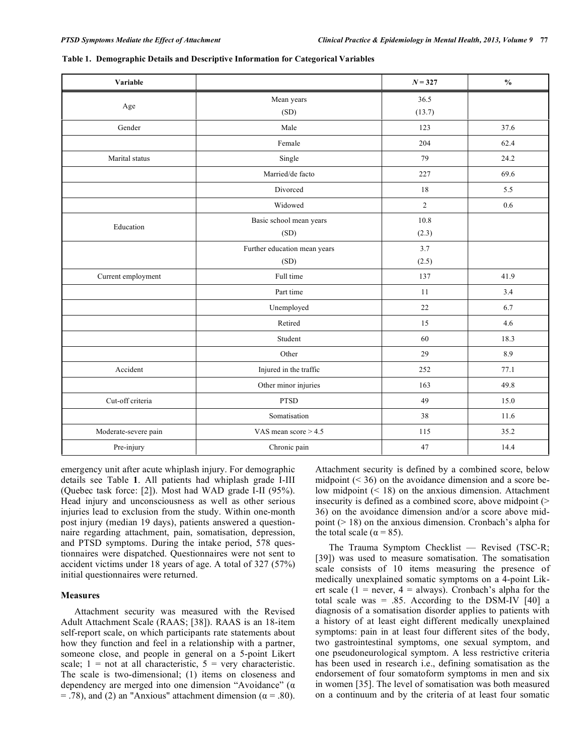| Variable             |                              | $N = 327$      | $\frac{0}{0}$ |
|----------------------|------------------------------|----------------|---------------|
|                      | Mean years                   | 36.5           |               |
| Age                  | (SD)                         | (13.7)         |               |
| Gender               | Male                         | 123            | 37.6          |
|                      | Female                       | 204            | 62.4          |
| Marital status       | Single                       | 79             | 24.2          |
|                      | Married/de facto             | 227            | 69.6          |
|                      | Divorced                     | 18             | 5.5           |
|                      | Widowed                      | $\overline{2}$ | 0.6           |
|                      | Basic school mean years      | 10.8           |               |
| Education            | (SD)                         | (2.3)          |               |
|                      | Further education mean years | 3.7            |               |
|                      | (SD)                         | (2.5)          |               |
| Current employment   | Full time                    | 137            | 41.9          |
|                      | Part time                    | 11             | 3.4           |
|                      | Unemployed                   | 22             | 6.7           |
|                      | Retired                      | 15             | 4.6           |
|                      | Student                      | 60             | 18.3          |
|                      | Other                        | 29             | 8.9           |
| Accident             | Injured in the traffic       | 252            | 77.1          |
|                      | Other minor injuries         | 163            | 49.8          |
| Cut-off criteria     | <b>PTSD</b>                  | 49             | 15.0          |
|                      | Somatisation                 | 38             | 11.6          |
| Moderate-severe pain | VAS mean score $> 4.5$       | 115            | 35.2          |
| Pre-injury           | Chronic pain                 | 47             | 14.4          |

**Table 1. Demographic Details and Descriptive Information for Categorical Variables**

emergency unit after acute whiplash injury. For demographic details see Table **1**. All patients had whiplash grade I-III (Quebec task force: [2]). Most had WAD grade I-II (95%). Head injury and unconsciousness as well as other serious injuries lead to exclusion from the study. Within one-month post injury (median 19 days), patients answered a questionnaire regarding attachment, pain, somatisation, depression, and PTSD symptoms. During the intake period, 578 questionnaires were dispatched. Questionnaires were not sent to accident victims under 18 years of age. A total of 327 (57%) initial questionnaires were returned.

#### **Measures**

Attachment security was measured with the Revised Adult Attachment Scale (RAAS; [38]). RAAS is an 18-item self-report scale, on which participants rate statements about how they function and feel in a relationship with a partner, someone close, and people in general on a 5-point Likert scale;  $1 = not at all characteristic, 5 = very characteristic.$ The scale is two-dimensional; (1) items on closeness and dependency are merged into one dimension "Avoidance" (α  $=$  .78), and (2) an "Anxious" attachment dimension ( $\alpha$  = .80).

Attachment security is defined by a combined score, below midpoint  $($   $\leq$  36) on the avoidance dimension and a score below midpoint (< 18) on the anxious dimension. Attachment insecurity is defined as a combined score, above midpoint  $($ 36) on the avoidance dimension and/or a score above midpoint (> 18) on the anxious dimension. Cronbach's alpha for the total scale ( $\alpha$  = 85).

The Trauma Symptom Checklist — Revised (TSC-R; [39]) was used to measure somatisation. The somatisation scale consists of 10 items measuring the presence of medically unexplained somatic symptoms on a 4-point Likert scale (1 = never, 4 = always). Cronbach's alpha for the total scale was  $= .85$ . According to the DSM-IV [40] a diagnosis of a somatisation disorder applies to patients with a history of at least eight different medically unexplained symptoms: pain in at least four different sites of the body, two gastrointestinal symptoms, one sexual symptom, and one pseudoneurological symptom. A less restrictive criteria has been used in research i.e., defining somatisation as the endorsement of four somatoform symptoms in men and six in women [35]. The level of somatisation was both measured on a continuum and by the criteria of at least four somatic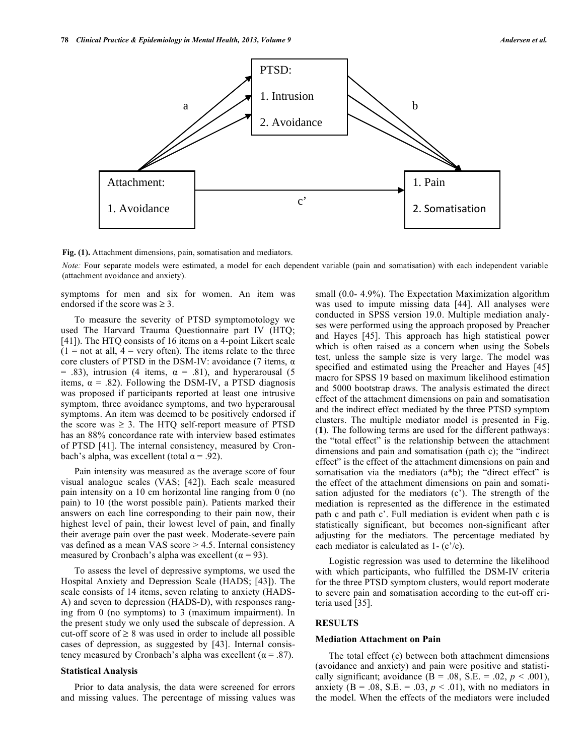

**Fig. (1).** Attachment dimensions, pain, somatisation and mediators.

*Note:* Four separate models were estimated, a model for each dependent variable (pain and somatisation) with each independent variable (attachment avoidance and anxiety).

symptoms for men and six for women. An item was endorsed if the score was  $\geq 3$ .

To measure the severity of PTSD symptomotology we used The Harvard Trauma Questionnaire part IV (HTQ; [41]). The HTQ consists of 16 items on a 4-point Likert scale  $(1 = not at all, 4 = very often)$ . The items relate to the three core clusters of PTSD in the DSM-IV: avoidance (7 items, α = .83), intrusion (4 items,  $\alpha$  = .81), and hyperarousal (5 items,  $\alpha$  = .82). Following the DSM-IV, a PTSD diagnosis was proposed if participants reported at least one intrusive symptom, three avoidance symptoms, and two hyperarousal symptoms. An item was deemed to be positively endorsed if the score was  $\geq$  3. The HTQ self-report measure of PTSD has an 88% concordance rate with interview based estimates of PTSD [41]. The internal consistency, measured by Cronbach's alpha, was excellent (total  $\alpha$  = .92).

Pain intensity was measured as the average score of four visual analogue scales (VAS; [42]). Each scale measured pain intensity on a 10 cm horizontal line ranging from 0 (no pain) to 10 (the worst possible pain). Patients marked their answers on each line corresponding to their pain now, their highest level of pain, their lowest level of pain, and finally their average pain over the past week. Moderate-severe pain vas defined as a mean VAS score > 4.5. Internal consistency measured by Cronbach's alpha was excellent ( $\alpha$  = 93).

To assess the level of depressive symptoms, we used the Hospital Anxiety and Depression Scale (HADS; [43]). The scale consists of 14 items, seven relating to anxiety (HADS-A) and seven to depression (HADS-D), with responses ranging from 0 (no symptoms) to 3 (maximum impairment). In the present study we only used the subscale of depression. A cut-off score of  $\geq 8$  was used in order to include all possible cases of depression, as suggested by [43]. Internal consistency measured by Cronbach's alpha was excellent ( $\alpha$  = .87).

#### **Statistical Analysis**

Prior to data analysis, the data were screened for errors and missing values. The percentage of missing values was small (0.0- 4.9%). The Expectation Maximization algorithm was used to impute missing data [44]. All analyses were conducted in SPSS version 19.0. Multiple mediation analyses were performed using the approach proposed by Preacher and Hayes [45]. This approach has high statistical power which is often raised as a concern when using the Sobels test, unless the sample size is very large. The model was specified and estimated using the Preacher and Hayes [45] macro for SPSS 19 based on maximum likelihood estimation and 5000 bootstrap draws. The analysis estimated the direct effect of the attachment dimensions on pain and somatisation and the indirect effect mediated by the three PTSD symptom clusters. The multiple mediator model is presented in Fig. (**1**). The following terms are used for the different pathways: the "total effect" is the relationship between the attachment dimensions and pain and somatisation (path c); the "indirect effect" is the effect of the attachment dimensions on pain and somatisation via the mediators (a\*b); the "direct effect" is the effect of the attachment dimensions on pain and somatisation adjusted for the mediators (c'). The strength of the mediation is represented as the difference in the estimated path c and path c'. Full mediation is evident when path c is statistically significant, but becomes non-significant after adjusting for the mediators. The percentage mediated by each mediator is calculated as 1- (c'/c).

Logistic regression was used to determine the likelihood with which participants, who fulfilled the DSM-IV criteria for the three PTSD symptom clusters, would report moderate to severe pain and somatisation according to the cut-off criteria used [35].

### **RESULTS**

#### **Mediation Attachment on Pain**

The total effect (c) between both attachment dimensions (avoidance and anxiety) and pain were positive and statistically significant; avoidance  $(B = .08, S.E. = .02, p < .001)$ , anxiety ( $B = .08$ ,  $S.E. = .03$ ,  $p < .01$ ), with no mediators in the model. When the effects of the mediators were included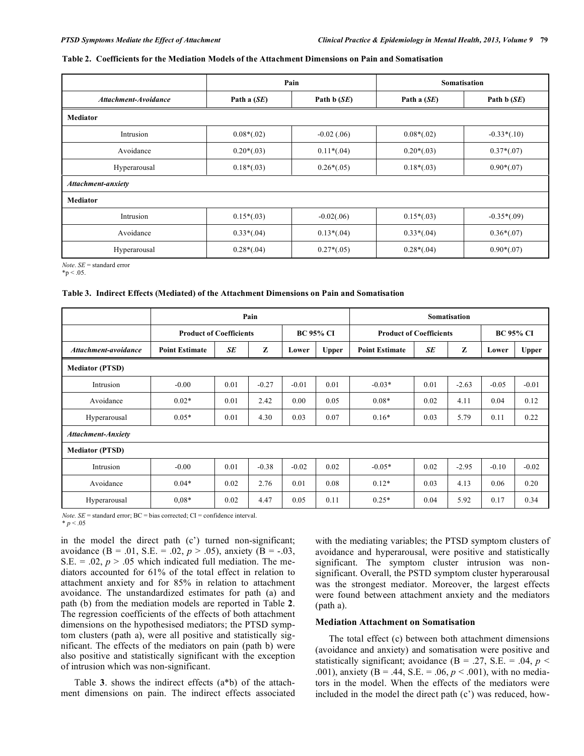#### **Table 2. Coefficients for the Mediation Models of the Attachment Dimensions on Pain and Somatisation**

|                             |                              | Pain          | <b>Somatisation</b> |               |  |  |  |  |
|-----------------------------|------------------------------|---------------|---------------------|---------------|--|--|--|--|
| <b>Attachment-Avoidance</b> | Path a $(SE)$                | Path $b(SE)$  | Path a $(SE)$       | Path $b(SE)$  |  |  |  |  |
| <b>Mediator</b>             |                              |               |                     |               |  |  |  |  |
| Intrusion                   | $0.08*(.02)$                 | $-0.02$ (.06) | $0.08*(.02)$        | $-0.33*(.10)$ |  |  |  |  |
| Avoidance                   | $0.20*(.03)$                 | $0.11*(0.04)$ | $0.20*(.03)$        | $0.37*(.07)$  |  |  |  |  |
| Hyperarousal                | $0.18*(.03)$<br>$0.26*(.05)$ |               | $0.18*(.03)$        | $0.90*(.07)$  |  |  |  |  |
| Attachment-anxiety          |                              |               |                     |               |  |  |  |  |
| <b>Mediator</b>             |                              |               |                     |               |  |  |  |  |
| Intrusion                   | $0.15*(.03)$                 | $-0.02(.06)$  | $0.15*(.03)$        |               |  |  |  |  |
| Avoidance                   | $0.33*(.04)$                 | $0.13*(.04)$  | $0.33*(.04)$        | $0.36*(.07)$  |  |  |  |  |
| Hyperarousal                | $0.28*(.04)$                 | $0.27*(.05)$  | $0.28*(.04)$        | $0.90*(.07)$  |  |  |  |  |

*Note*. *SE* = standard error

 $*_{p} < .05$ .

#### **Table 3. Indirect Effects (Mediated) of the Attachment Dimensions on Pain and Somatisation**

|                           | Pain                           |      |         |                  | <b>Somatisation</b>            |                       |      |                  |         |              |
|---------------------------|--------------------------------|------|---------|------------------|--------------------------------|-----------------------|------|------------------|---------|--------------|
|                           | <b>Product of Coefficients</b> |      |         | <b>BC 95% CI</b> | <b>Product of Coefficients</b> |                       |      | <b>BC 95% CI</b> |         |              |
| Attachment-avoidance      | <b>Point Estimate</b>          | SE   | Z       | Lower            | <b>Upper</b>                   | <b>Point Estimate</b> | SE   | Z                | Lower   | <b>Upper</b> |
| <b>Mediator (PTSD)</b>    |                                |      |         |                  |                                |                       |      |                  |         |              |
| Intrusion                 | $-0.00$                        | 0.01 | $-0.27$ | $-0.01$          | 0.01                           | $-0.03*$              | 0.01 | $-2.63$          | $-0.05$ | $-0.01$      |
| Avoidance                 | $0.02*$                        | 0.01 | 2.42    | 0.00             | 0.05                           | $0.08*$               | 0.02 | 4.11             | 0.04    | 0.12         |
| Hyperarousal              | $0.05*$                        | 0.01 | 4.30    | 0.03             | 0.07                           | $0.16*$               | 0.03 | 5.79             | 0.11    | 0.22         |
| <b>Attachment-Anxiety</b> |                                |      |         |                  |                                |                       |      |                  |         |              |
| <b>Mediator (PTSD)</b>    |                                |      |         |                  |                                |                       |      |                  |         |              |
| Intrusion                 | $-0.00$                        | 0.01 | $-0.38$ | $-0.02$          | 0.02                           | $-0.05*$              | 0.02 | $-2.95$          | $-0.10$ | $-0.02$      |
| Avoidance                 | $0.04*$                        | 0.02 | 2.76    | 0.01             | 0.08                           | $0.12*$               | 0.03 | 4.13             | 0.06    | 0.20         |
| Hyperarousal              | $0.08*$                        | 0.02 | 4.47    | 0.05             | 0.11                           | $0.25*$               | 0.04 | 5.92             | 0.17    | 0.34         |

*Note.*  $SE$  = standard error;  $BC$  = bias corrected;  $CI$  = confidence interval.

 $* p < .05$ 

in the model the direct path (c') turned non-significant; avoidance (B = .01, S.E. = .02,  $p > .05$ ), anxiety (B = -.03, S.E.  $= .02, p > .05$  which indicated full mediation. The mediators accounted for 61% of the total effect in relation to attachment anxiety and for 85% in relation to attachment avoidance. The unstandardized estimates for path (a) and path (b) from the mediation models are reported in Table **2**. The regression coefficients of the effects of both attachment dimensions on the hypothesised mediators; the PTSD symptom clusters (path a), were all positive and statistically significant. The effects of the mediators on pain (path b) were also positive and statistically significant with the exception of intrusion which was non-significant.

Table **3**. shows the indirect effects (a\*b) of the attachment dimensions on pain. The indirect effects associated with the mediating variables; the PTSD symptom clusters of avoidance and hyperarousal, were positive and statistically significant. The symptom cluster intrusion was nonsignificant. Overall, the PSTD symptom cluster hyperarousal was the strongest mediator. Moreover, the largest effects were found between attachment anxiety and the mediators (path a).

#### **Mediation Attachment on Somatisation**

The total effect (c) between both attachment dimensions (avoidance and anxiety) and somatisation were positive and statistically significant; avoidance (B = .27, S.E. = .04,  $p$  < .001), anxiety (B = .44, S.E. = .06, *p* < .001), with no mediators in the model. When the effects of the mediators were included in the model the direct path (c') was reduced, how-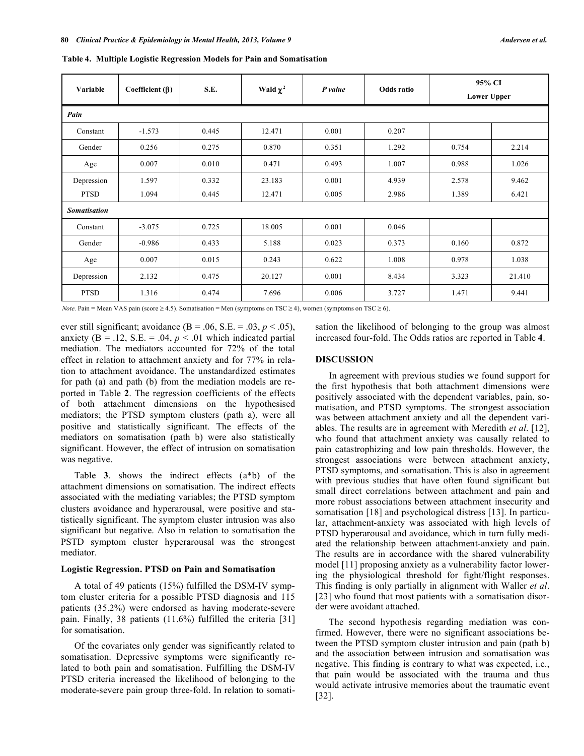| Variable            | Coefficient $(\beta)$ | S.E.  | Wald $\chi^2$ | P value | Odds ratio | 95% CI<br><b>Lower Upper</b> |        |  |  |
|---------------------|-----------------------|-------|---------------|---------|------------|------------------------------|--------|--|--|
| Pain                |                       |       |               |         |            |                              |        |  |  |
| Constant            | $-1.573$              | 0.445 | 12.471        | 0.001   | 0.207      |                              |        |  |  |
| Gender              | 0.256                 | 0.275 | 0.870         | 0.351   | 1.292      | 0.754                        | 2.214  |  |  |
| Age                 | 0.007                 | 0.010 | 0.471         | 0.493   | 1.007      | 0.988                        | 1.026  |  |  |
| Depression          | 1.597                 | 0.332 | 23.183        | 0.001   | 4.939      | 2.578                        | 9.462  |  |  |
| <b>PTSD</b>         | 1.094                 | 0.445 | 12.471        | 0.005   | 2.986      | 1.389                        | 6.421  |  |  |
| <b>Somatisation</b> |                       |       |               |         |            |                              |        |  |  |
| Constant            | $-3.075$              | 0.725 | 18.005        | 0.001   | 0.046      |                              |        |  |  |
| Gender              | $-0.986$              | 0.433 | 5.188         | 0.023   | 0.373      | 0.160                        | 0.872  |  |  |
| Age                 | 0.007                 | 0.015 | 0.243         | 0.622   | 1.008      | 0.978                        | 1.038  |  |  |
| Depression          | 2.132                 | 0.475 | 20.127        | 0.001   | 8.434      | 3.323                        | 21.410 |  |  |
| <b>PTSD</b>         | 1.316                 | 0.474 | 7.696         | 0.006   | 3.727      | 1.471                        | 9.441  |  |  |

**Table 4. Multiple Logistic Regression Models for Pain and Somatisation**

*Note.* Pain = Mean VAS pain (score  $\geq$  4.5). Somatisation = Men (symptoms on TSC  $\geq$  4), women (symptoms on TSC  $\geq$  6).

ever still significant; avoidance  $(B = .06, S.E. = .03, p < .05)$ , anxiety ( $B = .12$ ,  $S.E. = .04$ ,  $p < .01$  which indicated partial mediation. The mediators accounted for 72% of the total effect in relation to attachment anxiety and for 77% in relation to attachment avoidance. The unstandardized estimates for path (a) and path (b) from the mediation models are reported in Table **2**. The regression coefficients of the effects of both attachment dimensions on the hypothesised mediators; the PTSD symptom clusters (path a), were all positive and statistically significant. The effects of the mediators on somatisation (path b) were also statistically significant. However, the effect of intrusion on somatisation was negative.

Table **3**. shows the indirect effects (a\*b) of the attachment dimensions on somatisation. The indirect effects associated with the mediating variables; the PTSD symptom clusters avoidance and hyperarousal, were positive and statistically significant. The symptom cluster intrusion was also significant but negative. Also in relation to somatisation the PSTD symptom cluster hyperarousal was the strongest mediator.

#### **Logistic Regression. PTSD on Pain and Somatisation**

A total of 49 patients (15%) fulfilled the DSM-IV symptom cluster criteria for a possible PTSD diagnosis and 115 patients (35.2%) were endorsed as having moderate-severe pain. Finally, 38 patients (11.6%) fulfilled the criteria [31] for somatisation.

Of the covariates only gender was significantly related to somatisation. Depressive symptoms were significantly related to both pain and somatisation. Fulfilling the DSM-IV PTSD criteria increased the likelihood of belonging to the moderate-severe pain group three-fold. In relation to somatisation the likelihood of belonging to the group was almost increased four-fold. The Odds ratios are reported in Table **4**.

#### **DISCUSSION**

In agreement with previous studies we found support for the first hypothesis that both attachment dimensions were positively associated with the dependent variables, pain, somatisation, and PTSD symptoms. The strongest association was between attachment anxiety and all the dependent variables. The results are in agreement with Meredith *et al*. [12], who found that attachment anxiety was causally related to pain catastrophizing and low pain thresholds. However, the strongest associations were between attachment anxiety, PTSD symptoms, and somatisation. This is also in agreement with previous studies that have often found significant but small direct correlations between attachment and pain and more robust associations between attachment insecurity and somatisation [18] and psychological distress [13]. In particular, attachment-anxiety was associated with high levels of PTSD hyperarousal and avoidance, which in turn fully mediated the relationship between attachment-anxiety and pain. The results are in accordance with the shared vulnerability model [11] proposing anxiety as a vulnerability factor lowering the physiological threshold for fight/flight responses. This finding is only partially in alignment with Waller *et al*. [23] who found that most patients with a somatisation disorder were avoidant attached.

The second hypothesis regarding mediation was confirmed. However, there were no significant associations between the PTSD symptom cluster intrusion and pain (path b) and the association between intrusion and somatisation was negative. This finding is contrary to what was expected, i.e., that pain would be associated with the trauma and thus would activate intrusive memories about the traumatic event [32].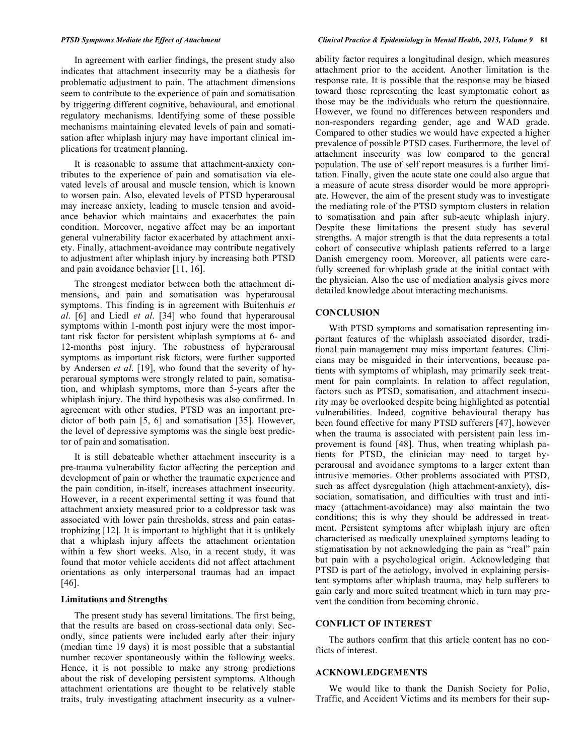In agreement with earlier findings, the present study also indicates that attachment insecurity may be a diathesis for problematic adjustment to pain. The attachment dimensions seem to contribute to the experience of pain and somatisation by triggering different cognitive, behavioural, and emotional regulatory mechanisms. Identifying some of these possible mechanisms maintaining elevated levels of pain and somatisation after whiplash injury may have important clinical implications for treatment planning.

It is reasonable to assume that attachment-anxiety contributes to the experience of pain and somatisation via elevated levels of arousal and muscle tension, which is known to worsen pain. Also, elevated levels of PTSD hyperarousal may increase anxiety, leading to muscle tension and avoidance behavior which maintains and exacerbates the pain condition. Moreover, negative affect may be an important general vulnerability factor exacerbated by attachment anxiety. Finally, attachment-avoidance may contribute negatively to adjustment after whiplash injury by increasing both PTSD and pain avoidance behavior [11, 16].

The strongest mediator between both the attachment dimensions, and pain and somatisation was hyperarousal symptoms. This finding is in agreement with Buitenhuis *et al*. [6] and Liedl *et al*. [34] who found that hyperarousal symptoms within 1-month post injury were the most important risk factor for persistent whiplash symptoms at 6- and 12-months post injury. The robustness of hyperarousal symptoms as important risk factors, were further supported by Andersen *et al*. [19], who found that the severity of hyperaroual symptoms were strongly related to pain, somatisation, and whiplash symptoms, more than 5-years after the whiplash injury. The third hypothesis was also confirmed. In agreement with other studies, PTSD was an important predictor of both pain [5, 6] and somatisation [35]. However, the level of depressive symptoms was the single best predictor of pain and somatisation.

It is still debateable whether attachment insecurity is a pre-trauma vulnerability factor affecting the perception and development of pain or whether the traumatic experience and the pain condition, in-itself, increases attachment insecurity. However, in a recent experimental setting it was found that attachment anxiety measured prior to a coldpressor task was associated with lower pain thresholds, stress and pain catastrophizing [12]. It is important to highlight that it is unlikely that a whiplash injury affects the attachment orientation within a few short weeks. Also, in a recent study, it was found that motor vehicle accidents did not affect attachment orientations as only interpersonal traumas had an impact [46].

#### **Limitations and Strengths**

The present study has several limitations. The first being, that the results are based on cross-sectional data only. Secondly, since patients were included early after their injury (median time 19 days) it is most possible that a substantial number recover spontaneously within the following weeks. Hence, it is not possible to make any strong predictions about the risk of developing persistent symptoms. Although attachment orientations are thought to be relatively stable traits, truly investigating attachment insecurity as a vulner-

#### PTSD Symptoms Mediate the Effect of Attachment<br>
Clinical Practice & Epidemiology in Mental Health, 2013, Volume 9 81

ability factor requires a longitudinal design, which measures attachment prior to the accident. Another limitation is the response rate. It is possible that the response may be biased toward those representing the least symptomatic cohort as those may be the individuals who return the questionnaire. However, we found no differences between responders and non-responders regarding gender, age and WAD grade. Compared to other studies we would have expected a higher prevalence of possible PTSD cases. Furthermore, the level of attachment insecurity was low compared to the general population. The use of self report measures is a further limitation. Finally, given the acute state one could also argue that a measure of acute stress disorder would be more appropriate. However, the aim of the present study was to investigate the mediating role of the PTSD symptom clusters in relation to somatisation and pain after sub-acute whiplash injury. Despite these limitations the present study has several strengths. A major strength is that the data represents a total cohort of consecutive whiplash patients referred to a large Danish emergency room. Moreover, all patients were carefully screened for whiplash grade at the initial contact with the physician. Also the use of mediation analysis gives more detailed knowledge about interacting mechanisms.

#### **CONCLUSION**

With PTSD symptoms and somatisation representing important features of the whiplash associated disorder, traditional pain management may miss important features. Clinicians may be misguided in their interventions, because patients with symptoms of whiplash, may primarily seek treatment for pain complaints. In relation to affect regulation, factors such as PTSD, somatisation, and attachment insecurity may be overlooked despite being highlighted as potential vulnerabilities. Indeed, cognitive behavioural therapy has been found effective for many PTSD sufferers [47], however when the trauma is associated with persistent pain less improvement is found [48]. Thus, when treating whiplash patients for PTSD, the clinician may need to target hyperarousal and avoidance symptoms to a larger extent than intrusive memories. Other problems associated with PTSD, such as affect dysregulation (high attachment-anxiety), dissociation, somatisation, and difficulties with trust and intimacy (attachment-avoidance) may also maintain the two conditions; this is why they should be addressed in treatment. Persistent symptoms after whiplash injury are often characterised as medically unexplained symptoms leading to stigmatisation by not acknowledging the pain as "real" pain but pain with a psychological origin. Acknowledging that PTSD is part of the aetiology, involved in explaining persistent symptoms after whiplash trauma, may help sufferers to gain early and more suited treatment which in turn may prevent the condition from becoming chronic.

#### **CONFLICT OF INTEREST**

The authors confirm that this article content has no conflicts of interest.

#### **ACKNOWLEDGEMENTS**

We would like to thank the Danish Society for Polio, Traffic, and Accident Victims and its members for their sup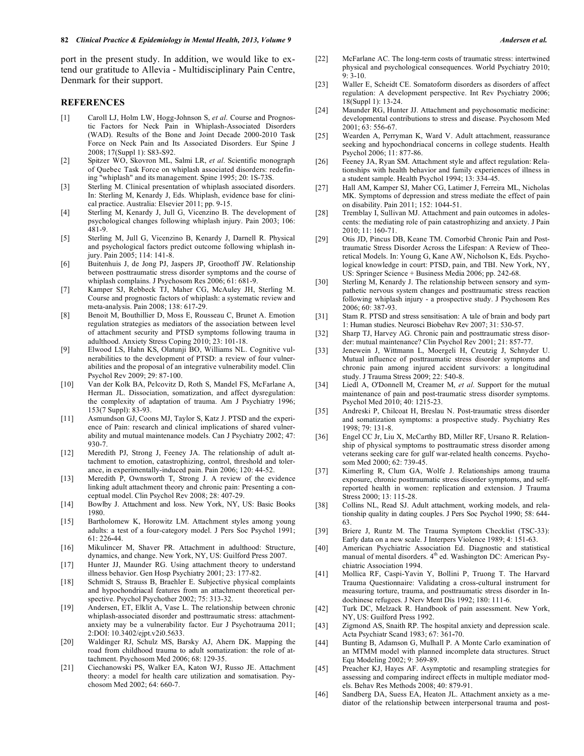port in the present study. In addition, we would like to extend our gratitude to Allevia - Multidisciplinary Pain Centre, Denmark for their support.

#### **REFERENCES**

- [1] Caroll LJ, Holm LW, Hogg-Johnson S, *et al*. Course and Prognostic Factors for Neck Pain in Whiplash-Associated Disorders (WAD). Results of the Bone and Joint Decade 2000-2010 Task Force on Neck Pain and Its Associated Disorders. Eur Spine J 2008; 17(Suppl 1): S83-S92.
- [2] Spitzer WO, Skovron ML, Salmi LR, *et al*. Scientific monograph of Quebec Task Force on whiplash associated disorders: redefining "whiplash" and its management. Spine 1995; 20: 1S-73S.
- [3] Sterling M. Clinical presentation of whiplash associated disorders. In: Sterling M, Kenardy J, Eds. Whiplash, evidence base for clinical practice. Australia: Elsevier 2011; pp. 9-15.
- [4] Sterling M, Kenardy J, Jull G, Vicenzino B. The development of psychological changes following whiplash injury. Pain 2003; 106: 481-9.
- [5] Sterling M, Jull G, Vicenzino B, Kenardy J, Darnell R. Physical and psychological factors predict outcome following whiplash injury. Pain 2005; 114: 141-8.
- [6] Buitenhuis J, de Jong PJ, Jaspers JP, Groothoff JW. Relationship between posttraumatic stress disorder symptoms and the course of whiplash complains. J Psychosom Res 2006; 61: 681-9.
- [7] Kamper SJ, Rebbeck TJ, Maher CG, McAuley JH, Sterling M. Course and prognostic factors of whiplash: a systematic review and meta-analysis. Pain 2008; 138: 617-29.
- [8] Benoit M, Bouthillier D, Moss E, Rousseau C, Brunet A. Emotion regulation strategies as mediators of the association between level of attachment security and PTSD symptoms following trauma in adulthood. Anxiety Stress Coping 2010; 23: 101-18.
- [9] Elwood LS, Hahn KS, Olatunji BO, Williams NL. Cognitive vulnerabilities to the development of PTSD: a review of four vulnerabilities and the proposal of an integrative vulnerability model. Clin Psychol Rev 2009; 29: 87-100.
- [10] Van der Kolk BA, Pelcovitz D, Roth S, Mandel FS, McFarlane A, Herman JL. Dissociation, somatization, and affect dysregulation: the complexity of adaptation of trauma. Am J Psychiatry 1996; 153(7 Suppl): 83-93.
- [11] Asmundson GJ, Coons MJ, Taylor S, Katz J. PTSD and the experience of Pain: research and clinical implications of shared vulnerability and mutual maintenance models. Can J Psychiatry 2002; 47: 930-7.
- [12] Meredith PJ, Strong J, Feeney JA. The relationship of adult attachment to emotion, catastrophizing, control, threshold and tolerance, in experimentally-induced pain. Pain 2006; 120: 44-52.
- [13] Meredith P, Ownsworth T, Strong J. A review of the evidence linking adult attachment theory and chronic pain: Presenting a conceptual model. Clin Psychol Rev 2008; 28: 407-29.
- [14] Bowlby J. Attachment and loss. New York, NY, US: Basic Books 1980.
- [15] Bartholomew K, Horowitz LM. Attachment styles among young adults: a test of a four-category model. J Pers Soc Psychol 1991; 61: 226**-**44.
- [16] Mikulincer M, Shaver PR. Attachment in adulthood: Structure, dynamics, and change. New York, NY, US: Guilford Press 2007.
- [17] Hunter JJ, Maunder RG. Using attachment theory to understand illness behavior. Gen Hosp Psychiatry 2001; 23: 177-82.
- [18] Schmidt S, Strauss B, Braehler E. Subjective physical complaints and hypochondriacal features from an attachment theoretical perspective. Psychol Psychother 2002; 75: 313-32.
- [19] Andersen, ET, Elklit A, Vase L. The relationship between chronic whiplash-associated disorder and posttraumatic stress: attachmentanxiety may be a vulnerability factor. Eur J Psychotrauma 2011; 2:DOI: 10.3402/ejpt.v2i0.5633.
- [20] Waldinger RJ, Schulz MS, Barsky AJ, Ahern DK. Mapping the road from childhood trauma to adult somatization: the role of attachment. Psychosom Med 2006; 68: 129-35.
- [21] Ciechanowski PS, Walker EA, Katon WJ, Russo JE. Attachment theory: a model for health care utilization and somatisation. Psychosom Med 2002; 64: 660-7.
- [22] McFarlane AC. The long-term costs of traumatic stress: intertwined physical and psychological consequences. World Psychiatry 2010;  $9: 3-10.$
- [23] Waller E, Scheidt CE. Somatoform disorders as disorders of affect regulation: A development perspective. Int Rev Psychiatry 2006; 18(Suppl 1): 13-24.
- [24] Maunder RG, Hunter JJ. Attachment and psychosomatic medicine: developmental contributions to stress and disease. Psychosom Med 2001; 63: 556-67.
- [25] Wearden A, Perryman K, Ward V. Adult attachment, reassurance seeking and hypochondriacal concerns in college students. Health Psychol 2006; 11: 877-86.
- [26] Feeney JA, Ryan SM. Attachment style and affect regulation: Relationships with health behavior and family experiences of illness in a student sample. Health Psychol 1994; 13: 334-45.
- [27] Hall AM, Kamper SJ, Maher CG, Latimer J, Ferreira ML, Nicholas MK. Symptoms of depression and stress mediate the effect of pain on disability. Pain 2011; 152: 1044-51.
- [28] Tremblay I, Sullivan MJ. Attachment and pain outcomes in adolescents: the mediating role of pain catastrophizing and anxiety. J Pain  $2010:11:160-71$
- [29] Otis JD, Pincus DB, Keane TM. Comorbid Chronic Pain and Posttraumatic Stress Disorder Across the Lifespan: A Review of Theoretical Models. In: Young G, Kane AW, Nicholson K, Eds. Psychological knowledge in court: PTSD, pain, and TBI. New York, NY, US: Springer Science + Business Media 2006; pp. 242-68.
- [30] Sterling M, Kenardy J. The relationship between sensory and sympathetic nervous system changes and posttraumatic stress reaction following whiplash injury - a prospective study. J Psychosom Res 2006; 60: 387-93.
- [31] Stam R. PTSD and stress sensitisation: A tale of brain and body part 1: Human studies. Neurosci Biobehav Rev 2007; 31: 530-57.
- [32] Sharp TJ, Harvey AG. Chronic pain and posttraumatic stress disorder: mutual maintenance? Clin Psychol Rev 2001; 21: 857-77.
- [33] Jenewein J, Wittmann L, Moergeli H, Creutzig J, Schnyder U. Mutual influence of posttraumatic stress disorder symptoms and chronic pain among injured accident survivors: a longitudinal study. J Trauma Stress 2009; 22: 540-8.
- [34] Liedl A, O'Donnell M, Creamer M, *et al*. Support for the mutual maintenance of pain and post-traumatic stress disorder symptoms. Psychol Med 2010; 40: 1215-23.
- [35] Andreski P, Chilcoat H, Breslau N. Post-traumatic stress disorder and somatization symptoms: a prospective study. Psychiatry Res 1998; 79: 131-8.
- [36] Engel CC Jr, Liu X, McCarthy BD, Miller RF, Ursano R. Relationship of physical symptoms to posttraumatic stress disorder among veterans seeking care for gulf war-related health concerns. Psychosom Med 2000; 62: 739-45.
- [37] Kimerling R, Clum GA, Wolfe J. Relationships among trauma exposure, chronic posttraumatic stress disorder symptoms, and selfreported health in women: replication and extension. J Trauma Stress 2000; 13: 115-28.
- [38] Collins NL, Read SJ. Adult attachment, working models, and relationship quality in dating couples. J Pers Soc Psychol 1990; 58: 644- 63.
- [39] Briere J, Runtz M. The Trauma Symptom Checklist (TSC-33): Early data on a new scale. J Interpers Violence 1989; 4: 151-63.
- [40] American Psychiatric Association Ed. Diagnostic and statistical manual of mental disorders. 4<sup>th</sup> ed. Washington DC: American Psychiatric Association 1994.
- [41] Mollica RF, Caspi-Yavin Y, Bollini P, Truong T. The Harvard Trauma Questionnaire: Validating a cross-cultural instrument for measuring torture, trauma, and posttraumatic stress disorder in Indochinese refugees. J Nerv Ment Dis 1992; 180: 111-6.
- [42] Turk DC, Melzack R. Handbook of pain assessment. New York, NY, US: Guilford Press 1992.
- [43] Zigmond AS, Snaith RP. The hospital anxiety and depression scale. Acta Psychiatr Scand 1983; 67: 361**-**70.
- [44] Bunting B, Adamson G, Mulhall P. A Monte Carlo examination of an MTMM model with planned incomplete data structures. Struct Equ Modeling 2002; 9: 369-89.
- [45] Preacher KJ, Hayes AF. Asymptotic and resampling strategies for assessing and comparing indirect effects in multiple mediator models. Behav Res Methods 2008; 40: 879-91.
- [46] Sandberg DA, Suess EA, Heaton JL. Attachment anxiety as a mediator of the relationship between interpersonal trauma and post-